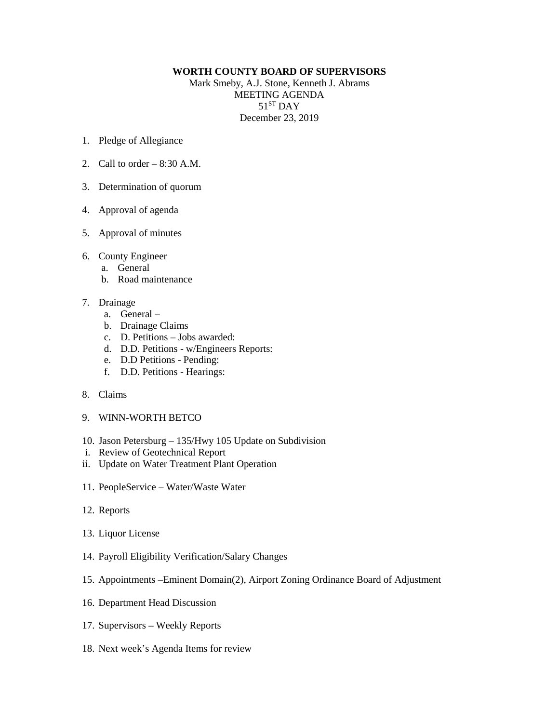## **WORTH COUNTY BOARD OF SUPERVISORS**

Mark Smeby, A.J. Stone, Kenneth J. Abrams MEETING AGENDA  $51<sup>ST</sup>$  DAY December 23, 2019

- 1. Pledge of Allegiance
- 2. Call to order 8:30 A.M.
- 3. Determination of quorum
- 4. Approval of agenda
- 5. Approval of minutes
- 6. County Engineer
	- a. General
	- b. Road maintenance
- 7. Drainage
	- a. General –
	- b. Drainage Claims
	- c. D. Petitions Jobs awarded:
	- d. D.D. Petitions w/Engineers Reports:
	- e. D.D Petitions Pending:
	- f. D.D. Petitions Hearings:
- 8. Claims
- 9. WINN-WORTH BETCO
- 10. Jason Petersburg 135/Hwy 105 Update on Subdivision
- i. Review of Geotechnical Report
- ii. Update on Water Treatment Plant Operation
- 11. PeopleService Water/Waste Water
- 12. Reports
- 13. Liquor License
- 14. Payroll Eligibility Verification/Salary Changes
- 15. Appointments –Eminent Domain(2), Airport Zoning Ordinance Board of Adjustment
- 16. Department Head Discussion
- 17. Supervisors Weekly Reports
- 18. Next week's Agenda Items for review